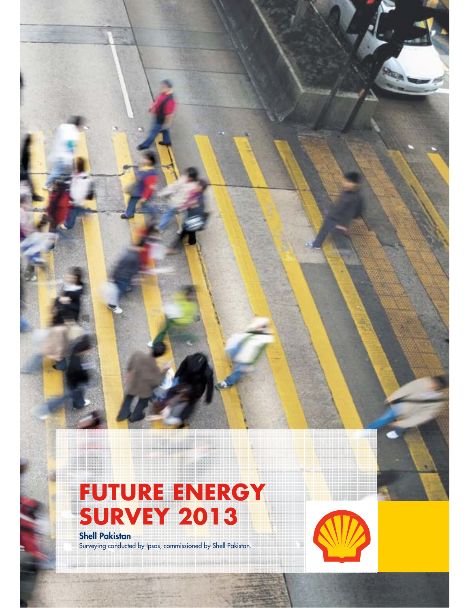



**Shell Pakistan**  Surveying conducted by Ipsos, commissioned by Shell Pakistan.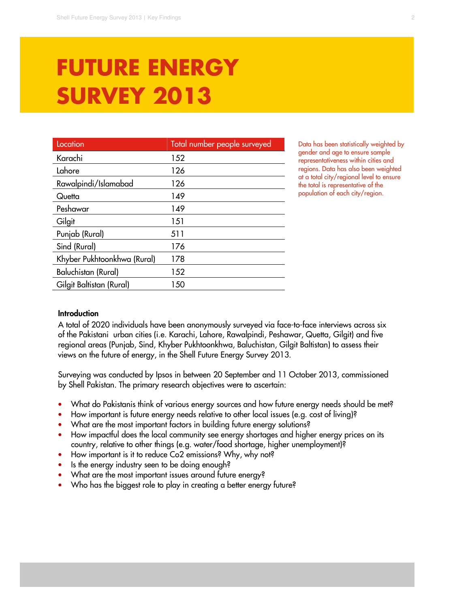# **FUTURE ENERGY SURVEY 2013**

| Total number people surveyed |
|------------------------------|
| 152                          |
| 126                          |
| 126                          |
| 149                          |
| 149                          |
| 151                          |
| 511                          |
| 176                          |
| 178                          |
| 152                          |
| 150                          |
|                              |

Data has been statistically weighted by gender and age to ensure sample representativeness within cities and regions. Data has also been weighted at a total city/regional level to ensure the total is representative of the population of each city/region.

#### **Introduction**

A total of 2020 individuals have been anonymously surveyed via face-to-face interviews across six of the Pakistani urban cities (i.e. Karachi, Lahore, Rawalpindi, Peshawar, Quetta, Gilgit) and five regional areas (Punjab, Sind, Khyber Pukhtoonkhwa, Baluchistan, Gilgit Baltistan) to assess their views on the future of energy, in the Shell Future Energy Survey 2013.

Surveying was conducted by Ipsos in between 20 September and 11 October 2013, commissioned by Shell Pakistan. The primary research objectives were to ascertain:

- What do Pakistanis think of various energy sources and how future energy needs should be met?
- How important is future energy needs relative to other local issues (e.g. cost of living)?
- What are the most important factors in building future energy solutions?
- How impactful does the local community see energy shortages and higher energy prices on its country, relative to other things (e.g. water/food shortage, higher unemployment)?
- How important is it to reduce Co2 emissions? Why, why not?
- Is the energy industry seen to be doing enough?
- What are the most important issues around future energy?
- Who has the biggest role to play in creating a better energy future?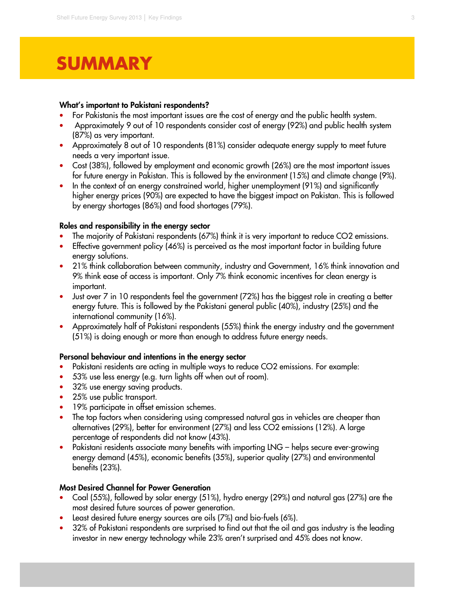# **SUMMARY**

#### **What's important to Pakistani respondents?**

- For Pakistanis the most important issues are the cost of energy and the public health system.
- Approximately 9 out of 10 respondents consider cost of energy (92%) and public health system (87%) as very important.
- Approximately 8 out of 10 respondents (81%) consider adequate energy supply to meet future needs a very important issue.
- Cost (38%), followed by employment and economic growth (26%) are the most important issues for future energy in Pakistan. This is followed by the environment (15%) and climate change (9%).
- In the context of an energy constrained world, higher unemployment (91%) and significantly higher energy prices (90%) are expected to have the biggest impact on Pakistan. This is followed by energy shortages (86%) and food shortages (79%).

#### **Roles and responsibility in the energy sector**

- The majority of Pakistani respondents (67%) think it is very important to reduce CO2 emissions.
- Effective government policy (46%) is perceived as the most important factor in building future energy solutions.
- 21% think collaboration between community, industry and Government, 16% think innovation and 9% think ease of access is important. Only 7% think economic incentives for clean energy is important.
- Just over 7 in 10 respondents feel the government (72%) has the biggest role in creating a better energy future. This is followed by the Pakistani general public (40%), industry (25%) and the international community (16%).
- Approximately half of Pakistani respondents (55%) think the energy industry and the government (51%) is doing enough or more than enough to address future energy needs.

#### **Personal behaviour and intentions in the energy sector**

- Pakistani residents are acting in multiple ways to reduce CO2 emissions. For example:
- 53% use less energy (e.g. turn lights off when out of room).
- 32% use energy saving products.
- 25% use public transport.
- 19% participate in offset emission schemes.
- The top factors when considering using compressed natural gas in vehicles are cheaper than alternatives (29%), better for environment (27%) and less CO2 emissions (12%). A large percentage of respondents did not know (43%).
- Pakistani residents associate many benefits with importing LNG helps secure ever-growing energy demand (45%), economic benefits (35%), superior quality (27%) and environmental benefits (23%).

#### **Most Desired Channel for Power Generation**

- Coal (55%), followed by solar energy (51%), hydro energy (29%) and natural gas (27%) are the most desired future sources of power generation.
- Least desired future energy sources are oils (7%) and bio-fuels (6%).
- 32% of Pakistani respondents are surprised to find out that the oil and gas industry is the leading investor in new energy technology while 23% aren't surprised and 45% does not know.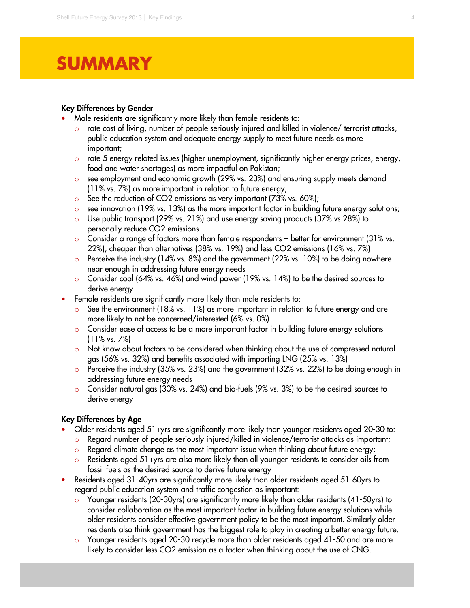# **SUMMARY**

I

#### **Key Differences by Gender**

- Male residents are significantly more likely than female residents to:
	- rate cost of living, number of people seriously injured and killed in violence/ terrorist attacks, public education system and adequate energy supply to meet future needs as more important;
	- $\circ$  rate 5 energy related issues (higher unemployment, significantly higher energy prices, energy, food and water shortages) as more impactful on Pakistan;
	- o see employment and economic growth (29% vs. 23%) and ensuring supply meets demand (11% vs. 7%) as more important in relation to future energy,
	- o See the reduction of CO2 emissions as very important (73% vs. 60%);
	- $\circ$  see innovation (19% vs. 13%) as the more important factor in building future energy solutions;
	- o Use public transport (29% vs. 21%) and use energy saving products (37% vs 28%) to personally reduce CO2 emissions
	- $\circ$  Consider a range of factors more than female respondents better for environment (31% vs. 22%), cheaper than alternatives (38% vs. 19%) and less CO2 emissions (16% vs. 7%)
	- o Perceive the industry (14% vs. 8%) and the government (22% vs. 10%) to be doing nowhere near enough in addressing future energy needs
	- o Consider coal (64% vs. 46%) and wind power (19% vs. 14%) to be the desired sources to derive energy
- Female residents are significantly more likely than male residents to:
	- See the environment (18% vs. 11%) as more important in relation to future energy and are more likely to not be concerned/interested (6% vs. 0%)
	- o Consider ease of access to be a more important factor in building future energy solutions (11% vs. 7%)
	- o Not know about factors to be considered when thinking about the use of compressed natural gas (56% vs. 32%) and benefits associated with importing LNG (25% vs. 13%)
	- $\circ$  Perceive the industry (35% vs. 23%) and the government (32% vs. 22%) to be doing enough in addressing future energy needs
	- o Consider natural gas (30% vs. 24%) and bio-fuels (9% vs. 3%) to be the desired sources to derive energy

#### **Key Differences by Age**

- Older residents aged 51+yrs are significantly more likely than younger residents aged 20-30 to:
	- Regard number of people seriously injured/killed in violence/terrorist attacks as important;
	- Regard climate change as the most important issue when thinking about future energy;
	- o Residents aged 51+yrs are also more likely than all younger residents to consider oils from fossil fuels as the desired source to derive future energy
- Residents aged 31-40yrs are significantly more likely than older residents aged 51-60yrs to regard public education system and traffic congestion as important:
	- o Younger residents (20-30yrs) are significantly more likely than older residents (41-50yrs) to consider collaboration as the most important factor in building future energy solutions while older residents consider effective government policy to be the most important. Similarly older residents also think government has the biggest role to play in creating a better energy future.
	- Younger residents aged 20-30 recycle more than older residents aged 41-50 and are more likely to consider less CO2 emission as a factor when thinking about the use of CNG.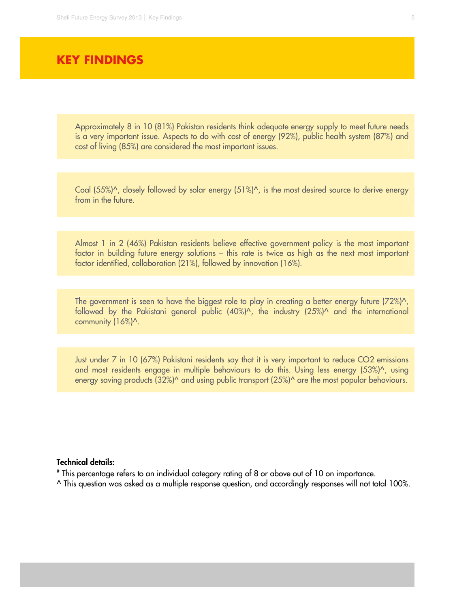### **KEY FINDINGS**

Approximately 8 in 10 (81%) Pakistan residents think adequate energy supply to meet future needs is a very important issue. Aspects to do with cost of energy (92%), public health system (87%) and cost of living (85%) are considered the most important issues.

Coal (55%)^, closely followed by solar energy (51%)^, is the most desired source to derive energy from in the future.

Almost 1 in 2 (46%) Pakistan residents believe effective government policy is the most important factor in building future energy solutions – this rate is twice as high as the next most important factor identified, collaboration (21%), followed by innovation (16%).

The government is seen to have the biggest role to play in creating a better energy future  $(72%)^{\prime}$ , followed by the Pakistani general public  $(40\%)^n$ , the industry  $(25\%)^n$  and the international community (16%)^.

Just under 7 in 10 (67%) Pakistani residents say that it is very important to reduce CO2 emissions and most residents engage in multiple behaviours to do this. Using less energy (53%)^, using energy saving products (32%)^ and using public transport (25%)^ are the most popular behaviours.

#### **Technical details:**

# This percentage refers to an individual category rating of 8 or above out of 10 on importance.

^ This question was asked as a multiple response question, and accordingly responses will not total 100%.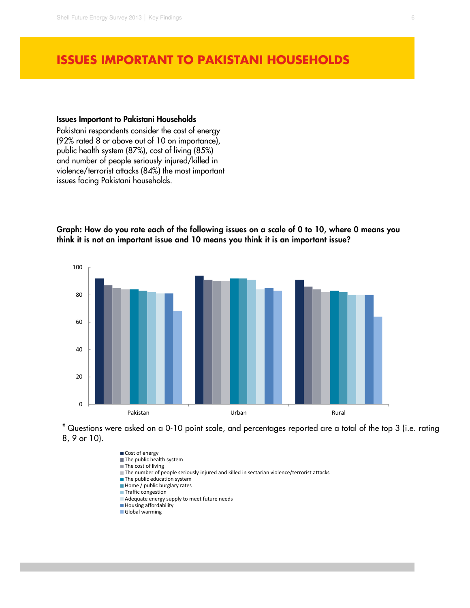### **ISSUES IMPORTANT TO PAKISTANI HOUSEHOLDS**

#### **Issues Important to Pakistani Households**

Pakistani respondents consider the cost of energy (92% rated 8 or above out of 10 on importance), public health system (87%), cost of living (85%) and number of people seriously injured/killed in violence/terrorist attacks (84%) the most important issues facing Pakistani households.

**Graph: How do you rate each of the following issues on a scale of 0 to 10, where 0 means you think it is not an important issue and 10 means you think it is an important issue?**





Cost of energy The public health system ■ The cost of living The number of people seriously injured and killed in sectarian violence/terrorist attacks  $\blacksquare$  The public education system Home / public burglary rates **Traffic congestion** Adequate energy supply to meet future needs **Housing affordability** Global warming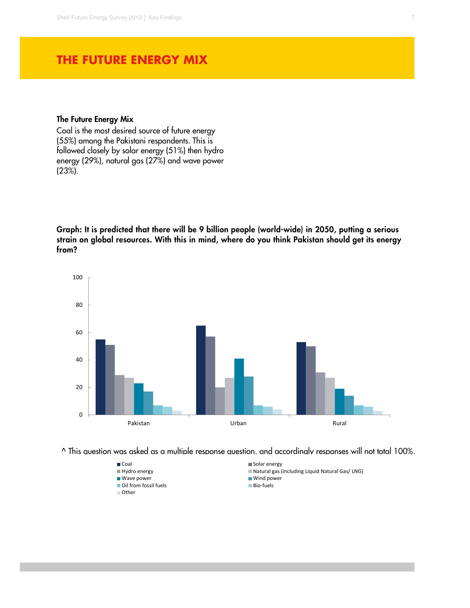### **THE FUTURE ENERGY MIX**

#### **The Future Energy Mix**

Coal is the most desired source of future energy (55%) among the Pakistani respondents. This is followed closely by solar energy (51%) then hydro energy (29%), natural gas (27%) and wave power (23%).

**Graph: It is predicted that there will be 9 billion people (world-wide) in 2050, putting a serious strain on global resources. With this in mind, where do you think Pakistan should get its energy from?** 



^ This question was asked as a multiple response question, and accordingly responses will not total 100%.

- 
- Wave power Wind power Wind power Wind power Wind power Wind power Wind power Wind power Wind power Wind power Windows 2019
- $\blacksquare$  Oil from fossil fuels
- Other
- Coal Solar energy
- Hydro energy Natural gas (including Liquid Natural Gas/ LNG)
	-
	-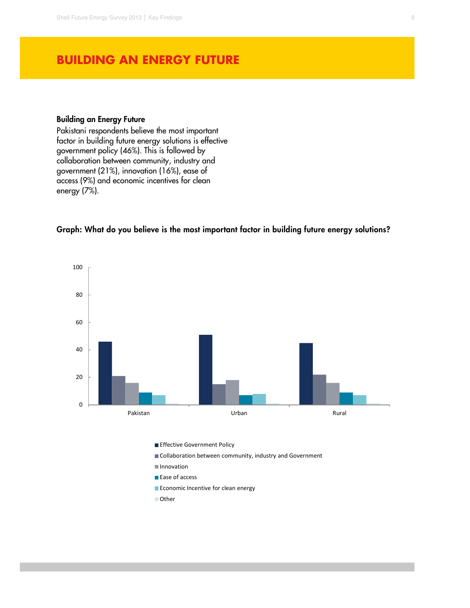### **BUILDING AN ENERGY FUTURE**

#### **Building an Energy Future**

Pakistani respondents believe the most important factor in building future energy solutions is effective government policy (46%). This is followed by collaboration between community, industry and government (21%), innovation (16%), ease of access (9%) and economic incentives for clean energy (7%).



#### **Graph: What do you believe is the most important factor in building future energy solutions?**

- 
- **Ease of access**
- Economic Incentive for clean energy
- Other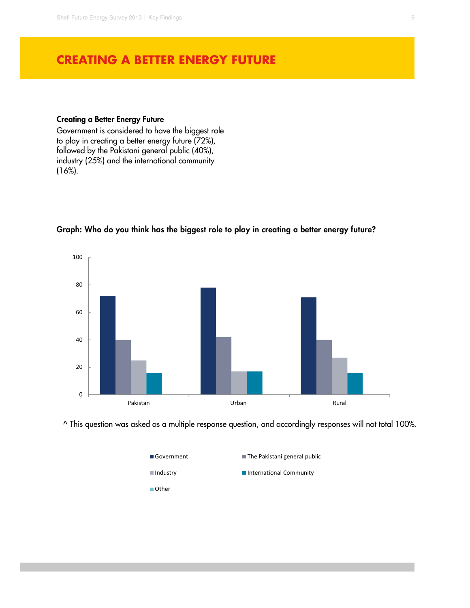### **CREATING A BETTER ENERGY FUTURE**

#### **Creating a Better Energy Future**

Government is considered to have the biggest role to play in creating a better energy future (72%), followed by the Pakistani general public (40%), industry (25%) and the international community (16%).



#### **Graph: Who do you think has the biggest role to play in creating a better energy future?**

^ This question was asked as a multiple response question, and accordingly responses will not total 100%.

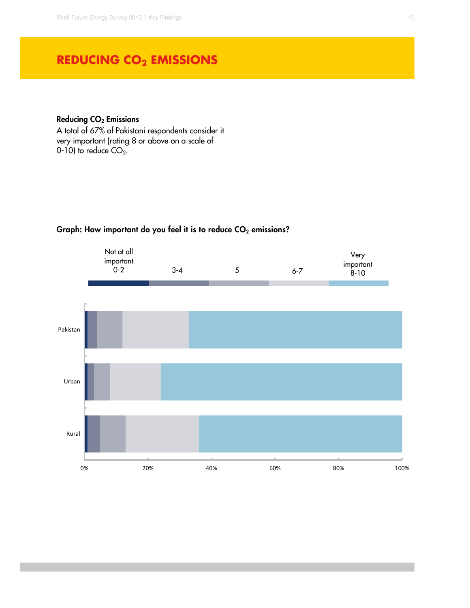## **REDUCING CO2 EMISSIONS**

#### **Reducing CO<sup>2</sup> Emissions**

A total of 67% of Pakistani respondents consider it very important (rating 8 or above on a scale of 0-10) to reduce  $CO<sub>2</sub>$ .



### **Graph: How important do you feel it is to reduce CO2 emissions?**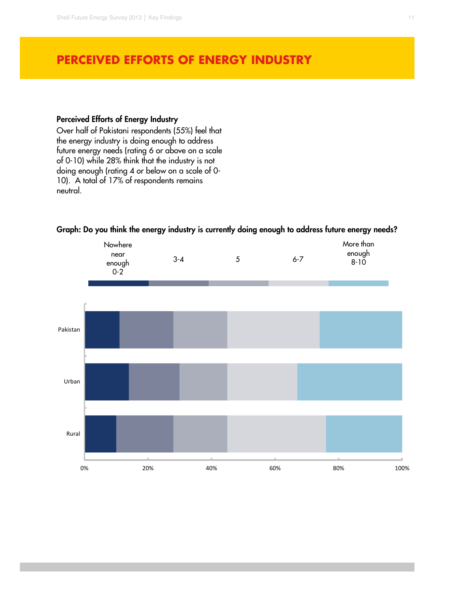### **PERCEIVED EFFORTS OF ENERGY INDUSTRY**

#### **Perceived Efforts of Energy Industry**

Over half of Pakistani respondents (55%) feel that the energy industry is doing enough to address future energy needs (rating 6 or above on a scale of 0-10) while 28% think that the industry is not doing enough (rating 4 or below on a scale of 0- 10). A total of 17% of respondents remains neutral.



#### **Graph: Do you think the energy industry is currently doing enough to address future energy needs?**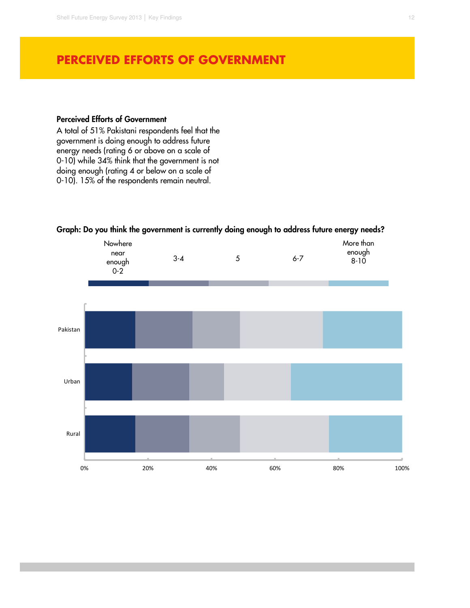### **PERCEIVED EFFORTS OF GOVERNMENT**

#### **Perceived Efforts of Government**

A total of 51% Pakistani respondents feel that the government is doing enough to address future energy needs (rating 6 or above on a scale of 0-10) while 34% think that the government is not doing enough (rating 4 or below on a scale of 0-10). 15% of the respondents remain neutral.



#### **Graph: Do you think the government is currently doing enough to address future energy needs?**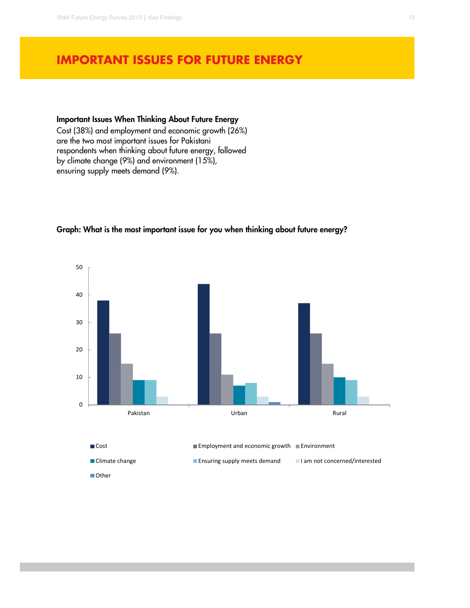### **IMPORTANT ISSUES FOR FUTURE ENERGY**

#### **Important Issues When Thinking About Future Energy**

Cost (38%) and employment and economic growth (26%) are the two most important issues for Pakistani respondents when thinking about future energy, followed by climate change (9%) and environment (15%), ensuring supply meets demand (9%).



#### **Graph: What is the most important issue for you when thinking about future energy?**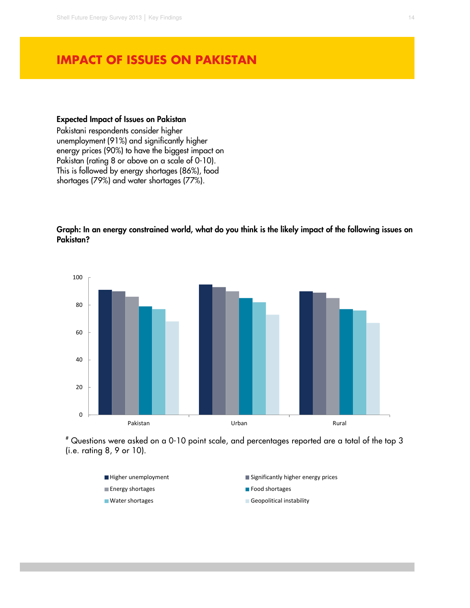### **IMPACT OF ISSUES ON PAKISTAN**

#### **Expected Impact of Issues on Pakistan**

Pakistani respondents consider higher unemployment (91%) and significantly higher energy prices (90%) to have the biggest impact on Pakistan (rating 8 or above on a scale of 0-10). This is followed by energy shortages (86%), food shortages (79%) and water shortages (77%).

**Graph: In an energy constrained world, what do you think is the likely impact of the following issues on Pakistan?** 



# Questions were asked on a 0-10 point scale, and percentages reported are a total of the top 3 (i.e. rating 8, 9 or 10).

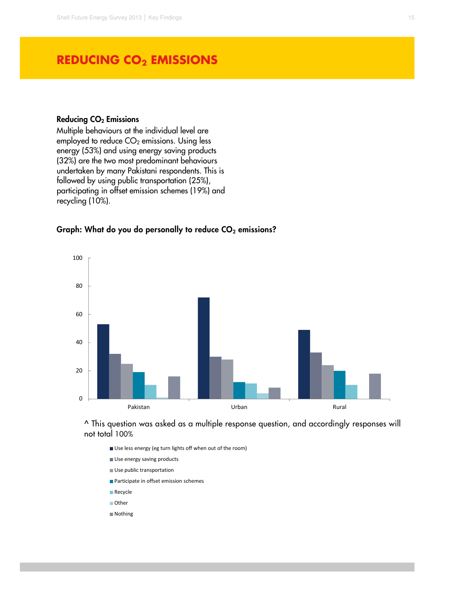### **REDUCING CO2 EMISSIONS**

#### **Reducing CO<sup>2</sup> Emissions**

Multiple behaviours at the individual level are employed to reduce  $CO<sub>2</sub>$  emissions. Using less energy (53%) and using energy saving products (32%) are the two most predominant behaviours undertaken by many Pakistani respondents. This is followed by using public transportation (25%), participating in offset emission schemes (19%) and recycling (10%).

#### **Graph: What do you do personally to reduce CO2 emissions?**



^ This question was asked as a multiple response question, and accordingly responses will not total 100%

- Use less energy (eg turn lights off when out of the room) Use energy saving products Use public transportation **Participate in offset emission schemes Recycle** Other
- Nothing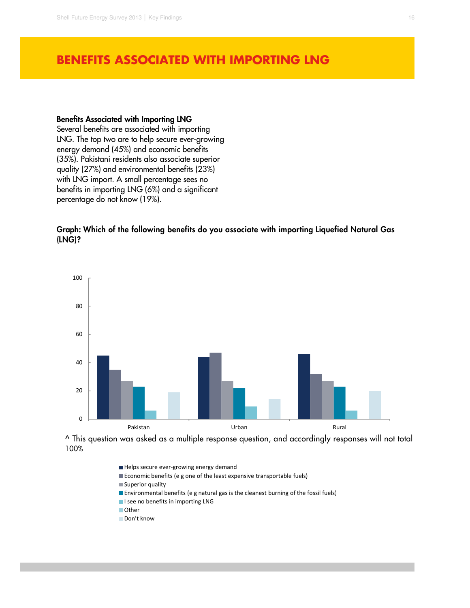### **BENEFITS ASSOCIATED WITH IMPORTING LNG**

#### **Benefits Associated with Importing LNG**

Several benefits are associated with importing LNG. The top two are to help secure ever-growing energy demand (45%) and economic benefits (35%). Pakistani residents also associate superior quality (27%) and environmental benefits (23%) with LNG import. A small percentage sees no benefits in importing LNG (6%) and a significant percentage do not know (19%).

**Graph: Which of the following benefits do you associate with importing Liquefied Natural Gas (LNG)?** 



^ This question was asked as a multiple response question, and accordingly responses will not total 100%

- Helps secure ever-growing energy demand
- Economic benefits (e g one of the least expensive transportable fuels)
- Superior quality
- **Environmental benefits (e g natural gas is the cleanest burning of the fossil fuels)**
- I see no benefits in importing LNG
- **Other**
- Don't know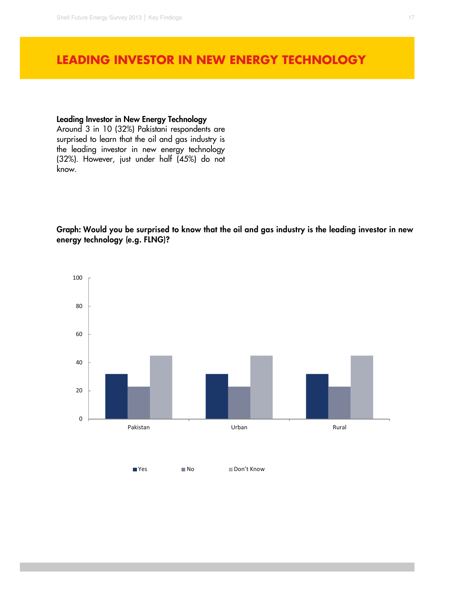### **LEADING INVESTOR IN NEW ENERGY TECHNOLOGY**

#### **Leading Investor in New Energy Technology**

Around 3 in 10 (32%) Pakistani respondents are surprised to learn that the oil and gas industry is the leading investor in new energy technology (32%). However, just under half (45%) do not know.

**Graph: Would you be surprised to know that the oil and gas industry is the leading investor in new energy technology (e.g. FLNG)?** 

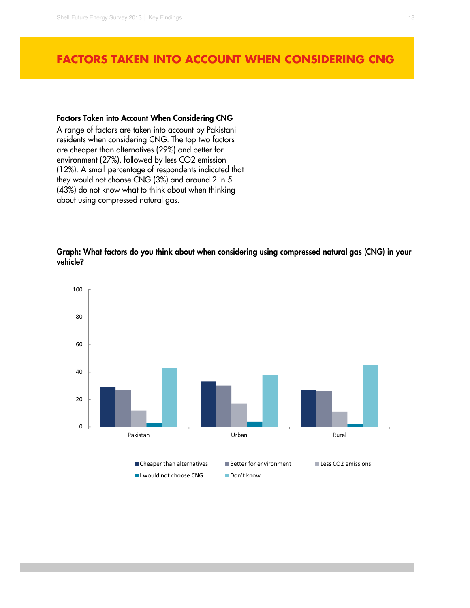### **FACTORS TAKEN INTO ACCOUNT WHEN CONSIDERING CNG**

#### **Factors Taken into Account When Considering CNG**

A range of factors are taken into account by Pakistani residents when considering CNG. The top two factors are cheaper than alternatives (29%) and better for environment (27%), followed by less CO2 emission (12%). A small percentage of respondents indicated that they would not choose CNG (3%) and around 2 in 5 (43%) do not know what to think about when thinking about using compressed natural gas.

**Graph: What factors do you think about when considering using compressed natural gas (CNG) in your vehicle?**